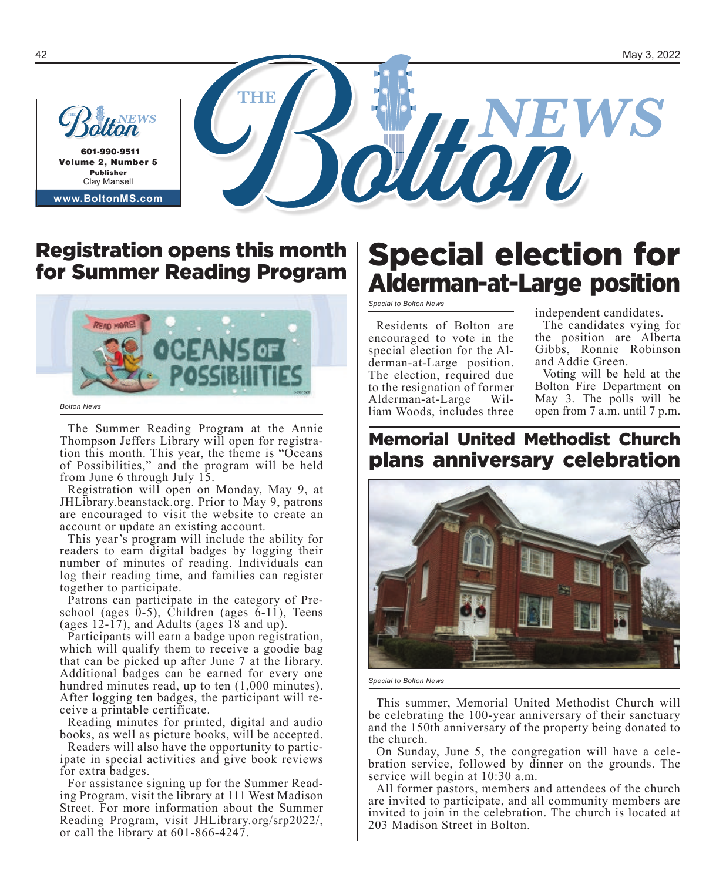

# Registration opens this month



*Bolton News* 

 601-990-9511 Volume 2, Number 5 Publisher Clay Mansell **www.BoltonMS.com**

The Summer Reading Program at the Annie Thompson Jeffers Library will open for registration this month. This year, the theme is "Oceans of Possibilities," and the program will be held from June 6 through July 15.

Registration will open on Monday, May 9, at JHLibrary.beanstack.org. Prior to May 9, patrons are encouraged to visit the website to create an account or update an existing account.

This year's program will include the ability for readers to earn digital badges by logging their number of minutes of reading. Individuals can log their reading time, and families can register together to participate.

Patrons can participate in the category of Pre-<br>school (ages 0-5), Children (ages 6-11), Teens (ages 12-17), and Adults (ages 18 and up).

Participants will earn a badge upon registration, which will qualify them to receive a goodie bag that can be picked up after June 7 at the library. Additional badges can be earned for every one hundred minutes read, up to ten (1,000 minutes). After logging ten badges, the participant will re- ceive a printable certificate.

Reading minutes for printed, digital and audio books, as well as picture books, will be accepted.

Readers will also have the opportunity to partic- ipate in special activities and give book reviews for extra badges.

For assistance signing up for the Summer Reading Program, visit the library at 111 West Madison Street. For more information about the Summer Reading Program, visit JHLibrary.org/srp2022/, or call the library at 601-866-4247.

### Registration opens this month Special election for<br>for Summer Reading Program Alderman-at-Large position

*Special to Bolton News* 

Residents of Bolton are encouraged to vote in the special election for the Al- derman-at-Large position. The election, required due to the resignation of former Alderman-at-Large Wil- liam Woods, includes three

independent candidates.

The candidates vying for the position are Alberta Gibbs, Ronnie Robinson and Addie Green.

Voting will be held at the Bolton Fire Department on May 3. The polls will be open from 7 a.m. until 7 p.m.

#### Memorial United Methodist Church plans anniversary celebration



*Special to Bolton News* 

This summer, Memorial United Methodist Church will be celebrating the 100-year anniversary of their sanctuary and the 150th anniversary of the property being donated to the church.

On Sunday, June 5, the congregation will have a cele- bration service, followed by dinner on the grounds. The service will begin at 10:30 a.m.

All former pastors, members and attendees of the church are invited to participate, and all community members are invited to join in the celebration. The church is located at 203 Madison Street in Bolton.